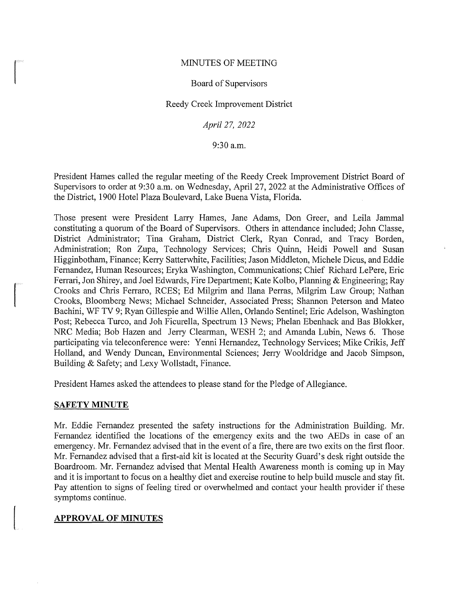### MINUTES OF MEETING

### Board of Supervisors

### Reedy Creek Improvement District

*April 27, 2022* 

9:30 a.m.

President Hames called the regular meeting of the Reedy Creek Improvement District Board of Supervisors to order at 9:30 a.m. on Wednesday, April 27, 2022 at the Administrative Offices of the District, 1900 Hotel Plaza Boulevard, Lake Buena Vista, Florida.

Those present were President Larry Hames, Jane Adams, Don Greer, and Leila Jammal constituting a quorum of the Board of Supervisors. Others in attendance included; John Classe, District Administrator; Tina Graham, District Clerk, Ryan Conrad, and Tracy Borden, Administration; Ron Zupa, Technology Services; Chris Quinn, Heidi Powell and Susan Higginbotham, Finance; Kerry Satterwhite, Facilities; Jason Middleton, Michele Dicus, and Eddie Fernandez, Human Resources; Eryka Washington, Communications; Chief Richard LePere, Eric Ferrari, Jon Shirey, and Joel Edwards, Fire Department; Kate Kolbo, Planning & Engineering; Ray Crooks and Chris Ferraro, RCES; Ed Milgrim and Ilana Perras, Milgrim Law Group; Nathan Crooks, Bloomberg News; Michael Schneider, Associated Press; Shannon Peterson and Mateo Bachini, WF TV 9; Ryan Gillespie and Willie Allen, Orlando Sentinel; Eric Adelson, Washington Post; Rebecca Turco, and Joh Ficurella, Spectrum 13 News; Phelan Ebenhack and Bas Blokker, NRC Media; Bob Hazen and Jerry Clearman, WESH 2; and Amanda Lubin, News 6. Those participating via teleconference were: Yenni Hernandez, Technology Services; Mike Crikis, Jeff Holland, and Wendy Duncan, Environmental Sciences; Jerry Wooldridge and Jacob Simpson, Building & Safety; and Lexy Wollstadt, Finance.

President Hames asked the attendees to please stand for the Pledge of Allegiance.

#### **SAFETY MINUTE**

Mr. Eddie Fernandez presented the safety instructions for the Administration Building. Mr. Fernandez identified the locations of the emergency exits and the two AEDs in case of an emergency. Mr. Fernandez advised that in the event of a fire, there are two exits on the first floor. Mr. Fernandez advised that a first-aid kit is located at the Security Guard's desk right outside the Boardroom. Mr. Fernandez advised that Mental Health Awareness month is coming up in May and it is important to focus on a healthy diet and exercise routine to help build muscle and stay fit. Pay attention to signs of feeling tired or overwhelmed and contact your health provider if these symptoms continue.

## **APPROVAL OF MINUTES**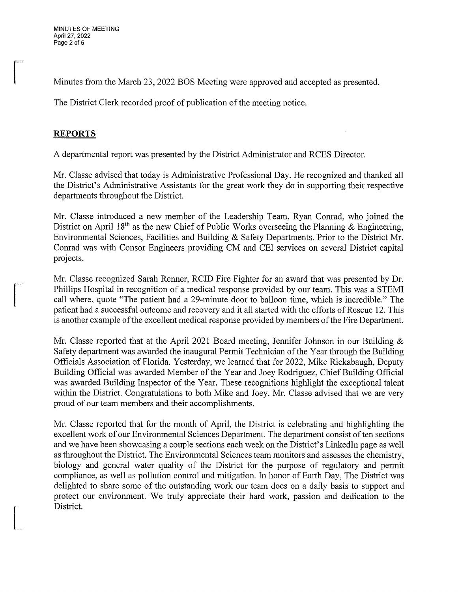Minutes from the March 23, 2022 BOS Meeting were approved and accepted as presented.

The District Clerk recorded proof of publication of the meeting notice.

## **REPORTS**

A departmental report was presented by the District Administrator and RCES Director.

Mr. Classe advised that today is Administrative Professional Day. He recognized and thanked all the District's Administrative Assistants for the great work they do in supporting their respective departments throughout the District.

Mr. Classe introduced a new member of the Leadership Team, Ryan Conrad, who joined the District on April 18<sup>th</sup> as the new Chief of Public Works overseeing the Planning & Engineering, Environmental Sciences, Facilities and Building & Safety Departments. Prior to the District Mr. Conrad was with Consor Engineers providing CM and CEI services on several District capital projects.

Mr. Classe recognized Sarah Renner, RCID Fire Fighter for an award that was presented by Dr. Phillips Hospital in recognition of a medical response provided by our team. This was a STEMI call where, quote "The patient had a 29-minute door to balloon time, which is incredible." The patient had a successful outcome and recovery and it all started with the efforts of Rescue 12. This is another example of the excellent medical response provided by members of the Fire Department.

Mr. Classe reported that at the April 2021 Board meeting, Jennifer Johnson in our Building & Safety department was awarded the inaugural Permit Technician of the Year through the Building Officials Association of Florida. Yesterday, we learned that for 2022, Mike Rickabaugh, Deputy Building Official was awarded Member of the Year and Joey Rodriguez, Chief Building Official was awarded Building Inspector of the Year. These recognitions highlight the exceptional talent within the District. Congratulations to both Mike and Joey. Mr. Classe advised that we are very proud of our team members and their accomplishments.

Mr. Classe reported that for the month of April, the District is celebrating and highlighting the excellent work of our Environmental Sciences Department. The department consist of ten sections and we have been showcasing a couple sections each week on the District's Linkedin page as well as throughout the District. The Environmental Sciences team monitors and assesses the chemistry, biology and general water quality of the District for the purpose of regulatory and permit compliance, as well as pollution control and mitigation. In honor of Earth Day, The District was delighted to share some of the outstanding work our team does on a daily basis to support and protect our environment. We truly appreciate their hard work, passion and dedication to the District.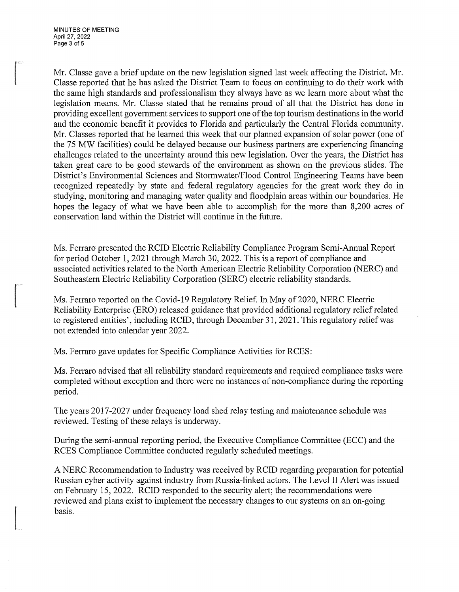Mr. Classe gave a brief update on the new legislation signed last week affecting the District. Mr. Classe reported that he has asked the District Team to focus on continuing to do their work with the same high standards and professionalism they always have as we learn more about what the legislation means. Mr. Classe stated that he remains proud of all that the District has done in providing excellent government services to support one ofthe top tourism destinations in the world and the economic benefit it provides to Florida and particularly the Central Florida community. Mr. Classes reported that he learned this week that our planned expansion of solar power (one of the 75 MW facilities) could be delayed because our business partners are experiencing financing challenges related to the uncertainty around this new legislation. Over the years, the District has taken great care to be good stewards of the environment as shown on the previous slides. The District's Environmental Sciences and Stormwater/Flood Control Engineering Teams have been recognized repeatedly by state and federal regulatory agencies for the great work they do in studying, monitoring and managing water quality and floodplain areas within our boundaries. He hopes the legacy of what we have been able to accomplish for the more than 8,200 acres of conservation land within the District will continue in the future.

Ms. Ferraro presented the RCID Electric Reliability Compliance Program Semi-Annual Report for period October 1, 2021 through March 30, 2022. This is a report of compliance and associated activities related to the North American Electric Reliability Corporation (NERC) and Southeastern Electric Reliability Corporation (SERC) electric reliability standards.

Ms. Ferraro reported on the Covid-19 Regulatory Relief. In May of 2020, NERC Electric Reliability Enterprise (ERO) released guidance that provided additional regulatory relief related to registered entities', including RCID, through December 31, 2021. This regulatory relief was not extended into calendar year 2022.

Ms. Ferraro gave updates for Specific Compliance Activities for RCES:

Ms. Ferraro advised that all reliability standard requirements and required compliance tasks were completed without exception and there were no instances of non-compliance during the reporting period.

The years 2017-2027 under frequency load shed relay testing and maintenance schedule was reviewed. Testing of these relays is underway.

During the semi-annual reporting period, the Executive Compliance Committee (ECC) and the RCES Compliance Committee conducted regularly scheduled meetings.

A NERC Recommendation to Industry was received by RCID regarding preparation for potential Russian cyber activity against industry from Russia-linked actors. The Level II Alert was issued on February 15, 2022. RCID responded to the security alert; the recommendations were reviewed and plans exist to implement the necessary changes to our systems on an on-going basis.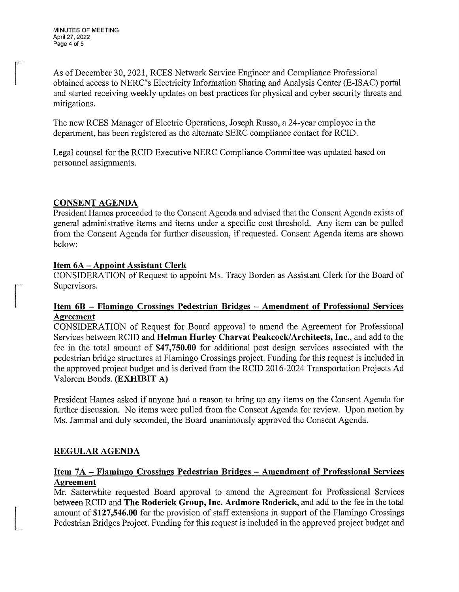As of December 30, 2021, RCES Network Service Engineer and Compliance Professional obtained access to NERC's Electricity Information Sharing and Analysis Center (E-ISAC) portal and started receiving weekly updates on best practices for physical and cyber security threats and mitigations.

The new RCES Manager of Electric Operations, Joseph Russo, a 24-year employee in the department, has been registered as the alternate SERC compliance contact for RCID.

Legal counsel for the RCID Executive NERC Compliance Committee was updated based on personnel assigmnents.

## **CONSENT AGENDA**

President Hames proceeded to the Consent Agenda and advised that the Consent Agenda exists of general administrative items and items under a specific cost threshold. Any item can be pulled from the Consent Agenda for further discussion, if requested. Consent Agenda items are shown below:

# **Item 6A – Appoint Assistant Clerk**

CONSIDERATION of Request to appoint Ms. Tracy Borden as Assistant Clerk for the Board of Supervisors.

## Item 6B – Flamingo Crossings Pedestrian Bridges – Amendment of Professional Services **Agreement**

CONSIDERATION of Request for Board approval to amend the Agreement for Professional Services between RCID and **Helman Hurley Charvat Peakcock/Architects, Inc.,** and add to the fee in the total amount of **\$47,750.00** for additional post design services associated with the pedestrian bridge structures at Flamingo Crossings project. Funding for this request is included in the approved project budget and is derived from the RCID 2016-2024 Transportation Projects Ad Valorem Bonds. **(EXHIBIT A)** 

President Hames asked if anyone had a reason to bring up any items on the Consent Agenda for further discussion. No items were pulled from the Consent Agenda for review. Upon motion by Ms. Jammal and duly seconded, the Board unanimously approved the Consent Agenda.

# **REGULAR AGENDA**

# **Item 7A – Flamingo Crossings Pedestrian Bridges – Amendment of Professional Services Agreement**

Mr. Satterwhite requested Board approval to amend the Agreement for Professional Services between RCID and **The Roderick Group, Inc. Ardmore Roderick,** and add to the fee in the total amount of **\$127,546.00** for the provision of staff extensions in support of the Flamingo Crossings Pedestrian Bridges Project. Funding for this request is included in the approved project budget and